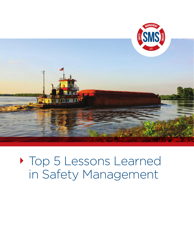

Top 5 Lessons Learned in Safety Management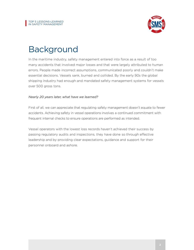

## Background

In the maritime industry, safety management entered into force as a result of too many accidents that involved major losses and that were largely attributed to human errors. People made incorrect assumptions, communicated poorly and couldn't make essential decisions. Vessels sank, burned and collided. By the early 90s the global shipping industry had enough and mandated safety management systems for vessels over 500 gross tons.

## *Nearly 20 years later, what have we learned?*

First of all, we can appreciate that regulating safety management doesn't equate to fewer accidents. Achieving safety in vessel operations involves a continued commitment with frequent internal checks to ensure operations are performed as intended.

Vessel operators with the lowest loss records haven't achieved their success by passing regulatory audits and inspections, they have done so through effective leadership and by providing clear expectations, guidance and support for their personnel onboard and ashore.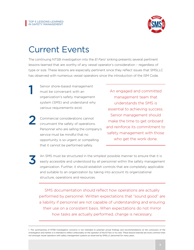3



## Current Events

The continuing NTSB investigation into the *El Faro<sup>1</sup>* sinking presents several pertinent lessons-learned that are worthy of any vessel operator's consideration – regardless of type or size. These lessons are especially pertinent since they reflect issues that SMSLLC has observed with numerous vessel operators since the introduction of the ISM Code.

- Senior shore-based management must be conversant with an organization's safety management system (SMS) and understand why various requirements exist. 1
- Commercial considerations cannot circumvent the safety of operations. Personnel who are selling the company's service must be mindful that no opportunity is so urgent or compelling that it cannot be performed safely. 2

An engaged and committed management team that understands the SMS is essential to achieving success. Senior management should make the time to get onboard and reinforce its commitment to safety management with those who get the work done.

An SMS must be structured in the simplest possible manner to ensure that it is easily accessible and understood by all personnel within the safety management organization. Further, it should establish controls that are completely applicable and suitable to an organization by taking into account its organizational structure, operations and resources.

SMS documentation should reflect how operations are actually performed by personnel. Written expectations that "sound good" are a liability if personnel are not capable of understanding and ensuring their use on a consistent basis. When expectations do not mirror how tasks are actually performed, change is necessary.

<sup>1.</sup> The summarizing of NTSB investigation concerns is not intended to preempt actual findings and recommendations at the conclusion of the investigation and neither is it intended to reflect unfavorably on the operator of the El Faro or its crew. These lessons-learned are more common than not amongst vessel operators with safety management systems as observed by SMSLLC personnel for many years.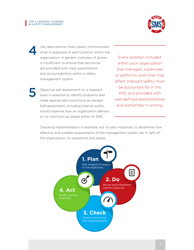5

4



Job descriptions must clearly communicate what is expected of each position within the organization. A generic overview of duties is insufficient to ensure that personnel are provided with clear expectations and accountabilities within a safety management system.

Objective self-assessment on a frequent basis is essential to identify problems and make appropriate corrections as needed. Self-assessment, including internal audits, should examine how an organization delivers on its intentions as stated within its SMS.

Every position included within your organization that manages, supervises or performs work that may affect onboard safety must be accounted for in the SMS and provided with well-defined responsibilities and authorities in writing.

Checking implementation is essential, but it's also important to determine how effective and suitable requirements of the management system are in light of the organization, its operations and assets.